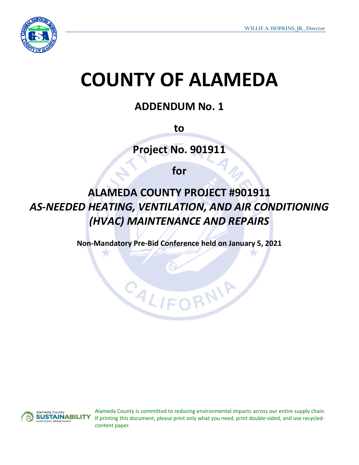

# **COUNTY OF ALAMEDA**

## **ADDENDUM No. 1**

**to**

**Project No. 901911**

**for**

**ALAMEDA COUNTY PROJECT #901911** *AS-NEEDED HEATING, VENTILATION, AND AIR CONDITIONING (HVAC) MAINTENANCE AND REPAIRS*

**Non-Mandatory Pre-Bid Conference held on January 5, 2021**

CALIFI



Alameda County is committed to reducing environmental impacts across our entire supply chain. If printing this document, please print only what you need, print double-sided, and use recycledcontent paper.

RNIA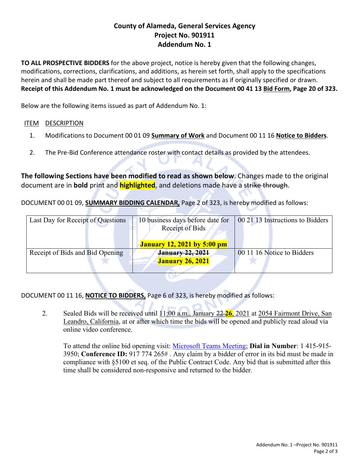### **County of Alameda, General Services Agency Project No. 901911 Addendum No. 1**

**TO ALL PROSPECTIVE BIDDERS** for the above project, notice is hereby given that the following changes, modifications, corrections, clarifications, and additions, as herein set forth, shall apply to the specifications herein and shall be made part thereof and subject to all requirements as if originally specified or drawn. **Receipt of this Addendum No. 1 must be acknowledged on the Document 00 41 13 Bid Form, Page 20 of 323.**

Below are the following items issued as part of Addendum No. 1:

#### ITEM DESCRIPTION

- 1. Modifications to Document 00 01 09 **Summary of Work** and Document 00 11 16 **Notice to Bidders**.
- 2. The Pre-Bid Conference attendance roster with contact details as provided by the attendees.

**The following Sections have been modified to read as shown below**. Changes made to the original document are in **bold** print and **highlighted**, and deletions made have a strike through.

DOCUMENT 00 01 09, **SUMMARY BIDDING CALENDAR,** Page 2 of 323, is hereby modified as follows:

| Last Day for Receipt of Questions | 10 business days before date for   | 00 21 13 Instructions to Bidders |
|-----------------------------------|------------------------------------|----------------------------------|
|                                   | Receipt of Bids                    |                                  |
|                                   |                                    |                                  |
|                                   | <b>January 12, 2021 by 5:00 pm</b> |                                  |
| Receipt of Bids and Bid Opening   | <b>January 22, 2021</b>            | 00 11 16 Notice to Bidders       |
|                                   | <b>January 26, 2021</b>            |                                  |
|                                   |                                    |                                  |

w

DOCUMENT 00 11 16, **NOTICE TO BIDDERS,** Page 6 of 323, is hereby modified as follows:

2. Sealed Bids will be received until 11:00 a.m., January 22 **26**, 2021 at 2054 Fairmont Drive, San Leandro, California, at or after which time the bids will be opened and publicly read aloud via online video conference.

To attend the online bid opening visit: [Microsoft Teams Meeting;](https://teams.microsoft.com/l/meetup-join/19%3ameeting_ZjUwNzljZWUtMzcwMy00ZmNiLWEyNWUtNzdmNWUxN2I4ZjQ3%40thread.v2/0?context=%7b%22Tid%22%3a%2232fdff2c-f86e-4ba3-a47d-6a44a7f45a64%22%2c%22Oid%22%3a%22d59731f8-e0a4-4f2a-b299-75189274042a%22%7d) **Dial in Number**: 1 415-915- 3950; **Conference ID:** 917 774 265# . Any claim by a bidder of error in its bid must be made in compliance with §5100 et seq. of the Public Contract Code. Any bid that is submitted after this time shall be considered non-responsive and returned to the bidder.